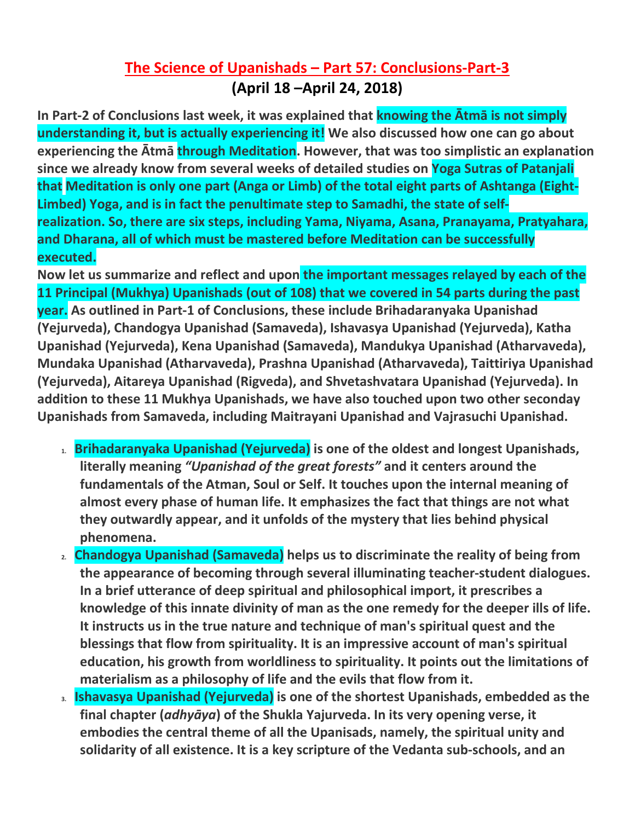## **The Science of Upanishads – Part 57: Conclusions-Part-3 (April 18 –April 24, 2018)**

**In Part-2 of Conclusions last week, it was explained that knowing the Ātmā is not simply understanding it, but is actually experiencing it! We also discussed how one can go about experiencing the Ātmā through Meditation. However, that was too simplistic an explanation since we already know from several weeks of detailed studies on Yoga Sutras of Patanjali that Meditation is only one part (Anga or Limb) of the total eight parts of Ashtanga (Eight-Limbed) Yoga, and is in fact the penultimate step to Samadhi, the state of selfrealization. So, there are six steps, including Yama, Niyama, Asana, Pranayama, Pratyahara, and Dharana, all of which must be mastered before Meditation can be successfully executed.**

**Now let us summarize and reflect and upon the important messages relayed by each of the 11 Principal (Mukhya) Upanishads (out of 108) that we covered in 54 parts during the past year. As outlined in Part-1 of Conclusions, these include Brihadaranyaka Upanishad (Yejurveda), Chandogya Upanishad (Samaveda), Ishavasya Upanishad (Yejurveda), Katha Upanishad (Yejurveda), Kena Upanishad (Samaveda), Mandukya Upanishad (Atharvaveda), Mundaka Upanishad (Atharvaveda), Prashna Upanishad (Atharvaveda), Taittiriya Upanishad (Yejurveda), Aitareya Upanishad (Rigveda), and Shvetashvatara Upanishad (Yejurveda). In addition to these 11 Mukhya Upanishads, we have also touched upon two other seconday Upanishads from Samaveda, including Maitrayani Upanishad and Vajrasuchi Upanishad.**

- **1. Brihadaranyaka Upanishad (Yejurveda) is one of the oldest and longest Upanishads, literally meaning** *"Upanishad of the great forests"* **and it centers around the fundamentals of the Atman, Soul or Self. It touches upon the internal meaning of almost every phase of human life. It emphasizes the fact that things are not what they outwardly appear, and it unfolds of the mystery that lies behind physical phenomena.**
- **2. Chandogya Upanishad (Samaveda) helps us to discriminate the reality of being from the appearance of becoming through several illuminating teacher-student dialogues. In a brief utterance of deep spiritual and philosophical import, it prescribes a knowledge of this innate divinity of man as the one remedy for the deeper ills of life. It instructs us in the true nature and technique of man's spiritual quest and the blessings that flow from spirituality. It is an impressive account of man's spiritual education, his growth from worldliness to spirituality. It points out the limitations of materialism as a philosophy of life and the evils that flow from it.**
- **3. Ishavasya Upanishad (Yejurveda) is one of the shortest Upanishads, embedded as the final chapter (***adhyāya***) of the Shukla Yajurveda. In its very opening verse, it embodies the central theme of all the Upanisads, namely, the spiritual unity and solidarity of all existence. It is a key scripture of the Vedanta sub-schools, and an**